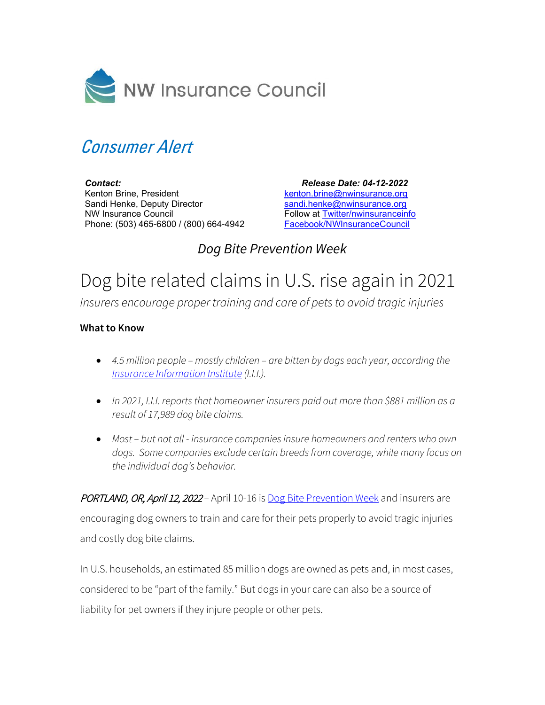

## Consumer Alert

*Contact:* Kenton Brine, President Sandi Henke, Deputy Director NW Insurance Council Phone: (503) 465-6800 / (800) 664-4942

 *Release Date: 04-12-2022*  [kenton.brine@nwinsurance.org](mailto:kenton.brine@nwinsurance.org) [sandi.henke@nwinsurance.org](mailto:sandi.henke@nwinsurance.org) Follow at [Twitter/nwinsuranceinfo](http://twitter.com/#!/nwinsuranceinfo) [Facebook/NWInsuranceCouncil](https://www.facebook.com/NWInsuranceCouncil)

## *Dog Bite Prevention Week*

## Dog bite related claims in U.S. rise again in 2021

*Insurers encourage proper training and care of pets to avoid tragic injuries*

## **What to Know**

- *4.5 million people mostly children are bitten by dogs each year, according the [Insurance Information Institute](https://www.iii.org/article/spotlight-on-dog-bite-liability#Charts%20and%20graphs) (I.I.I.).*
- *In 2021, I.I.I. reports that homeowner insurers paid out more than \$881 million as a result of 17,989 dog bite claims.*
- *Most but not all insurance companies insure homeowners and renters who own dogs. Some companies exclude certain breeds from coverage, while many focus on the individual dog's behavior.*

PORTLAND, OR, April 12, 2022 *–* April 10-16 is [Dog Bite Prevention Week](https://www.avma.org/Events/pethealth/Pages/Dog-Bite-Prevention-Week.aspx) and insurers are encouraging dog owners to train and care for their pets properly to avoid tragic injuries and costly dog bite claims.

In U.S. households, an estimated 85 million dogs are owned as pets and, in most cases, considered to be "part of the family." But dogs in your care can also be a source of liability for pet owners if they injure people or other pets.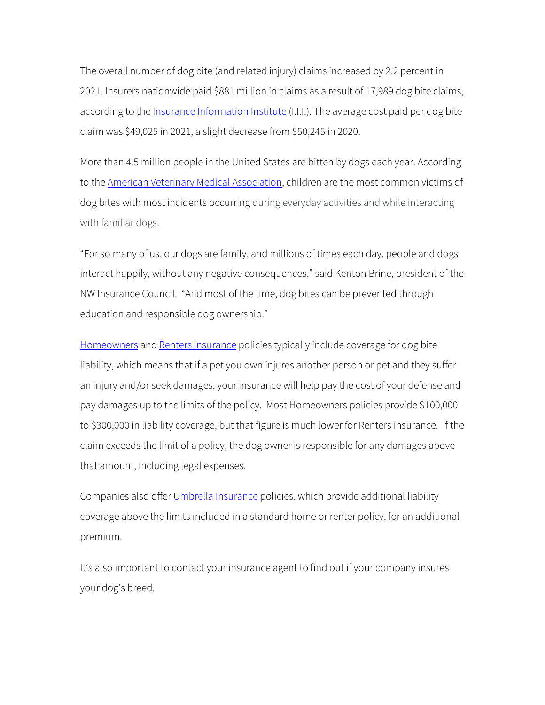The overall number of dog bite (and related injury) claims increased by 2.2 percent in 2021. Insurers nationwide paid \$881 million in claims as a result of 17,989 dog bite claims, according to the *Insurance Information Institute* (I.I.I.). The average cost paid per dog bite claim was \$49,025 in 2021, a slight decrease from \$50,245 in 2020.

More than 4.5 million people in the United States are bitten by dogs each year. According to the **American Veterinary Medical Association**, children are the most common victims of dog bites with most incidents occurring during everyday activities and while interacting with familiar dogs.

"For so many of us, our dogs are family, and millions of times each day, people and dogs interact happily, without any negative consequences," said Kenton Brine, president of the NW Insurance Council. "And most of the time, dog bites can be prevented through education and responsible dog ownership."

[Homeowners](http://www.nwinsurance.org/in_home.htm) an[d Renters insurance](http://www.nwinsurance.org/in_rent.htm) policies typically include coverage for dog bite liability, which means that if a pet you own injures another person or pet and they suffer an injury and/or seek damages, your insurance will help pay the cost of your defense and pay damages up to the limits of the policy. Most Homeowners policies provide \$100,000 to \$300,000 in liability coverage, but that figure is much lower for Renters insurance. If the claim exceeds the limit of a policy, the dog owner is responsible for any damages above that amount, including legal expenses.

Companies also offer [Umbrella Insurance](https://www.nwinsurance.org/umbrella-policy-coverage) policies, which provide additional liability coverage above the limits included in a standard home or renter policy, for an additional premium.

It's also important to contact your insurance agent to find out if your company insures your dog's breed.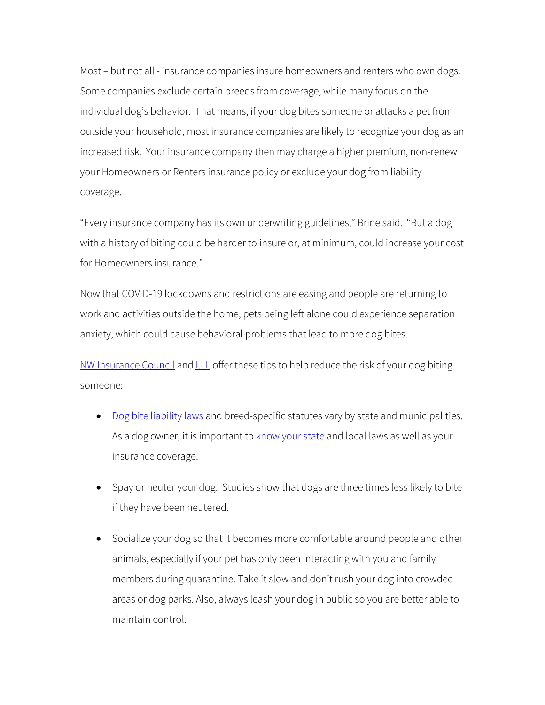Most – but not all - insurance companies insure homeowners and renters who own dogs. Some companies exclude certain breeds from coverage, while many focus on the individual dog's behavior. That means, if your dog bites someone or attacks a pet from outside your household, most insurance companies are likely to recognize your dog as an increased risk. Your insurance company then may charge a higher premium, non-renew your Homeowners or Renters insurance policy or exclude your dog from liability coverage.

"Every insurance company has its own underwriting guidelines," Brine said. "But a dog with a history of biting could be harder to insure or, at minimum, could increase your cost for Homeowners insurance."

Now that COVID-19 lockdowns and restrictions are easing and people are returning to work and activities outside the home, pets being left alone could experience separation anxiety, which could cause behavioral problems that lead to more dog bites.

[NW Insurance Council](http://www.nwinsurance.org/index.htm) and **I.I.I.** offer these tips to help reduce the risk of your dog biting someone:

- [Dog bite liability laws](https://www.iii.org/article/spotlight-on-dog-bite-liability) and breed-specific statutes vary by state and municipalities. As a dog owner, it is important to **know your state** and local laws as well as your insurance coverage.
- Spay or neuter your dog. Studies show that dogs are three times less likely to bite if they have been neutered.
- Socialize your dog so that it becomes more comfortable around people and other animals, especially if your pet has only been interacting with you and family members during quarantine. Take it slow and don't rush your dog into crowded areas or dog parks. Also, always leash your dog in public so you are better able to maintain control.